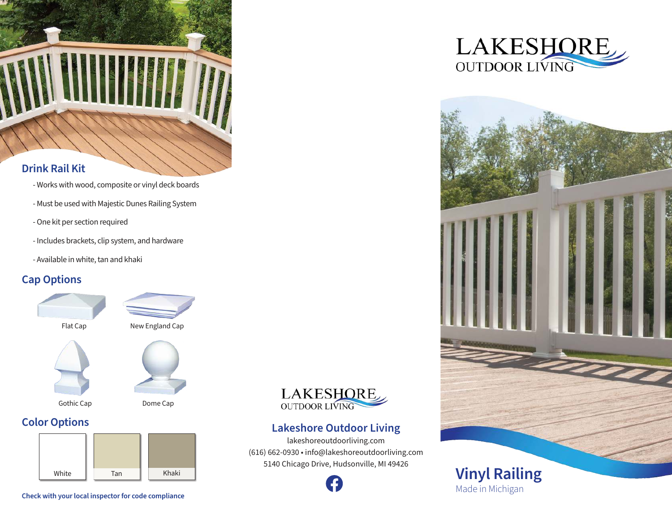

## **Drink Rail Kit**

- Works with wood, composite or vinyl deck boards
- Must be used with Majestic Dunes Railing System
- One kit per section required
- Includes brackets, clip system, and hardware
- Available in white, tan and khaki

## **Cap Options**











# **Color Options**





## **Lakeshore Outdoor Living**

lakeshoreoutdoorliving.com (616) 662-0930 • info@lakeshoreoutdoorliving.com 5140 Chicago Drive, Hudsonville, MI 49426







**Check with your local inspector for code compliance**